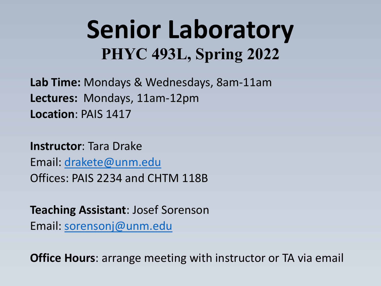# **Senior Laboratory PHYC 493L, Spring 2022**

**Lab Time:** Mondays & Wednesdays, 8am-11am **Lectures:** Mondays, 11am-12pm **Location**: PAIS 1417

**Instructor**: Tara Drake Email: [drakete@unm.edu](mailto:drakete@unm.edu) Offices: PAIS 2234 and CHTM 118B

**Teaching Assistant**: Josef Sorenson Email: [sorensonj@unm.edu](mailto:sorensonj@unm.edu)

**Office Hours**: arrange meeting with instructor or TA via email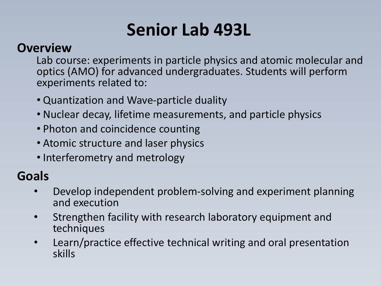### **Senior Lab 493L**

#### **Overview**

Lab course: experiments in particle physics and atomic molecular and optics (AMO) for advanced undergraduates. Students will perform experiments related to:

- Quantization and Wave-particle duality
- Nuclear decay, lifetime measurements, and particle physics
- Photon and coincidence counting
- Atomic structure and laser physics
- Interferometry and metrology

#### **Goals**

- Develop independent problem-solving and experiment planning and execution
- Strengthen facility with research laboratory equipment and techniques
- Learn/practice effective technical writing and oral presentation skills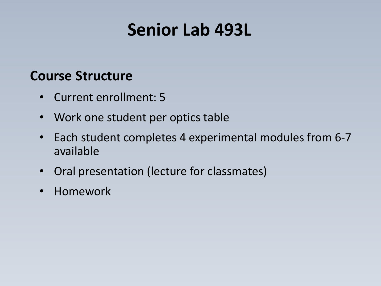#### **Senior Lab 493L**

#### **Course Structure**

- Current enrollment: 5
- Work one student per optics table
- Each student completes 4 experimental modules from 6-7 available
- Oral presentation (lecture for classmates)
- Homework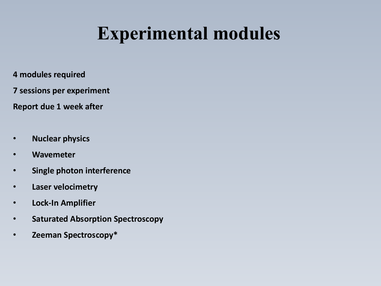### **Experimental modules**

- **4 modules required**
- **7 sessions per experiment**
- **Report due 1 week after**
- **Nuclear physics**
- **Wavemeter**
- **Single photon interference**
- **Laser velocimetry**
- **Lock-In Amplifier**
- **Saturated Absorption Spectroscopy**
- **Zeeman Spectroscopy\***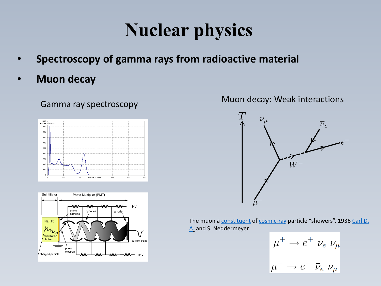## **Nuclear physics**

- **Spectroscopy of gamma rays from radioactive material**
- **Muon decay**

#### Gamma ray spectroscopy





#### Muon decay: Weak interactions



The muon a [constituent](https://www.merriam-webster.com/dictionary/constituent) of [cosmic-ray](https://www.britannica.com/science/cosmic-ray) [particle "showers". 1936 Carl D.](https://www.britannica.com/biography/Carl-David-Anderson)  A. and S. Neddermeyer.

$$
\mu^+ \to e^+ \nu_e \bar{\nu}_\mu
$$

$$
\mu^- \to e^- \bar{\nu}_e \nu_\mu
$$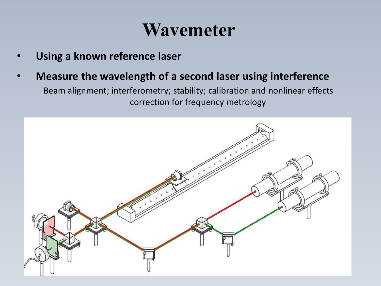#### **Wavemeter**

- **Using a known reference laser**
- **Measure the wavelength of a second laser using interference**

Beam alignment; interferometry; stability; calibration and nonlinear effects correction for frequency metrology

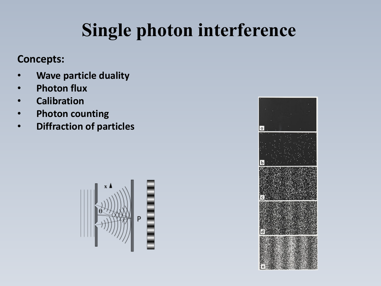# **Single photon interference**

#### **Concepts:**

- **Wave particle duality**
- **Photon flux**
- **Calibration**
- **Photon counting**
- **Diffraction of particles**



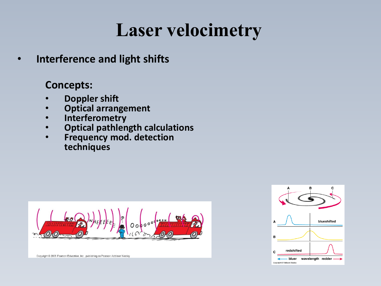### **Laser velocimetry**

• **Interference and light shifts**

#### **Concepts:**

- **Doppler shift**
- **Optical arrangement**
- **Interferometry**
- **Optical pathlength calculations**
- **Frequency mod. detection techniques**





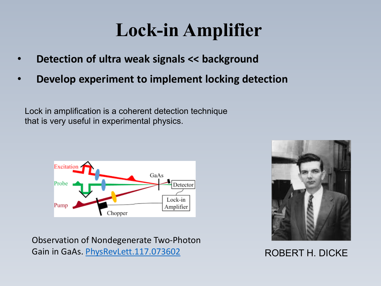### **Lock-in Amplifier**

- **Detection of ultra weak signals << background**
- **Develop experiment to implement locking detection**

Lock in amplification is a coherent detection technique that is very useful in experimental physics.



Observation of Nondegenerate Two-Photon Gain in GaAs. [PhysRevLett.117.073602](https://arxiv.org/ct?url=https://dx.doi.org/10.1103/PhysRevLett.117.073602&v=ef820e91)



#### ROBERT H. DICKE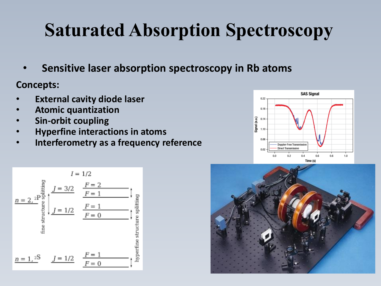# **Saturated Absorption Spectroscopy**

• **Sensitive laser absorption spectroscopy in Rb atoms**

**Concepts:**

- **External cavity diode laser**
- **Atomic quantization**
- **Sin-orbit coupling**
- **Hyperfine interactions in atoms**
- **Interferometry as a frequency reference**





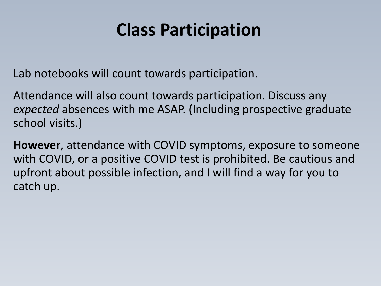### **Class Participation**

Lab notebooks will count towards participation.

Attendance will also count towards participation. Discuss any *expected* absences with me ASAP. (Including prospective graduate school visits.)

**However**, attendance with COVID symptoms, exposure to someone with COVID, or a positive COVID test is prohibited. Be cautious and upfront about possible infection, and I will find a way for you to catch up.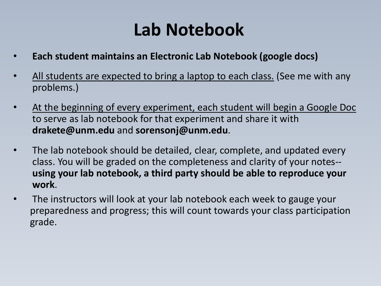### **Lab Notebook**

- **Each student maintains an Electronic Lab Notebook (google docs)**
- All students are expected to bring a laptop to each class. (See me with any problems.)
- At the beginning of every experiment, each student will begin a Google Doc to serve as lab notebook for that experiment and share it with **drakete@unm.edu** and **sorensonj@unm.edu**.
- The lab notebook should be detailed, clear, complete, and updated every class. You will be graded on the completeness and clarity of your notes- **using your lab notebook, a third party should be able to reproduce your work**.
- The instructors will look at your lab notebook each week to gauge your preparedness and progress; this will count towards your class participation grade.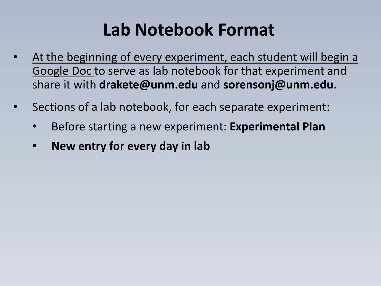### **Lab Notebook Format**

- At the beginning of every experiment, each student will begin a Google Doc to serve as lab notebook for that experiment and share it with **drakete@unm.edu** and **sorensonj@unm.edu**.
- Sections of a lab notebook, for each separate experiment:
	- Before starting a new experiment: **Experimental Plan**
	- **New entry for every day in lab**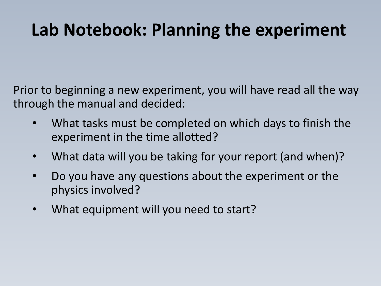### **Lab Notebook: Planning the experiment**

Prior to beginning a new experiment, you will have read all the way through the manual and decided:

- What tasks must be completed on which days to finish the experiment in the time allotted?
- What data will you be taking for your report (and when)?
- Do you have any questions about the experiment or the physics involved?
- What equipment will you need to start?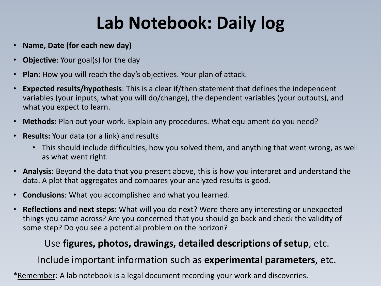## **Lab Notebook: Daily log**

- **Name, Date (for each new day)**
- **Objective:** Your goal(s) for the day
- **Plan**: How you will reach the day's objectives. Your plan of attack.
- **Expected results/hypothesis**: This is a clear if/then statement that defines the independent variables (your inputs, what you will do/change), the dependent variables (your outputs), and what you expect to learn.
- **Methods:** Plan out your work. Explain any procedures. What equipment do you need?
- **Results:** Your data (or a link) and results
	- This should include difficulties, how you solved them, and anything that went wrong, as well as what went right.
- **Analysis:** Beyond the data that you present above, this is how you interpret and understand the data. A plot that aggregates and compares your analyzed results is good.
- **Conclusions**: What you accomplished and what you learned.
- **Reflections and next steps:** What will you do next? Were there any interesting or unexpected things you came across? Are you concerned that you should go back and check the validity of some step? Do you see a potential problem on the horizon?

#### Use **figures, photos, drawings, detailed descriptions of setup**, etc.

Include important information such as **experimental parameters**, etc.

\*Remember: A lab notebook is a legal document recording your work and discoveries.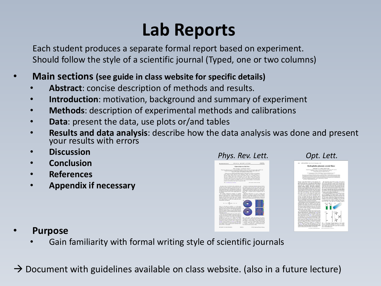### **Lab Reports**

Each student produces a separate formal report based on experiment. Should follow the style of a scientific journal (Typed, one or two columns)

#### • **Main sections (see guide in class website for specific details)**

- **Abstract**: concise description of methods and results.
- **Introduction**: motivation, background and summary of experiment
- **Methods**: description of experimental methods and calibrations
- **Data**: present the data, use plots or/and tables
- **Results and data analysis**: describe how the data analysis was done and present your results with errors
- **Discussion**
- **Conclusion**
- **References**
- **Appendix if necessary**



- **Purpose**
	- Gain familiarity with formal writing style of scientific journals

 $\rightarrow$  Document with guidelines available on class website. (also in a future lecture)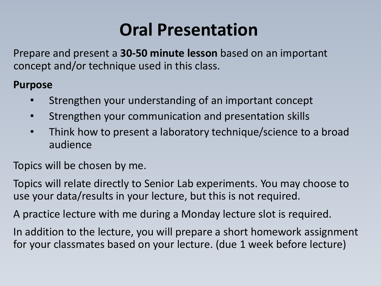### **Oral Presentation**

Prepare and present a **30-50 minute lesson** based on an important concept and/or technique used in this class.

#### **Purpose**

- Strengthen your understanding of an important concept
- Strengthen your communication and presentation skills
- Think how to present a laboratory technique/science to a broad audience

Topics will be chosen by me.

Topics will relate directly to Senior Lab experiments. You may choose to use your data/results in your lecture, but this is not required.

A practice lecture with me during a Monday lecture slot is required.

In addition to the lecture, you will prepare a short homework assignment for your classmates based on your lecture. (due 1 week before lecture)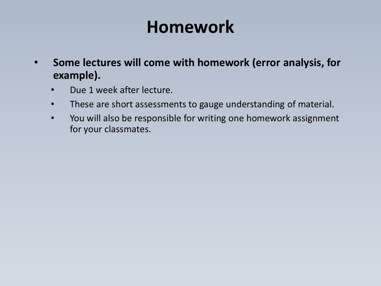### **Homework**

- **Some lectures will come with homework (error analysis, for example).**
	- Due 1 week after lecture.
	- These are short assessments to gauge understanding of material.
	- You will also be responsible for writing one homework assignment for your classmates.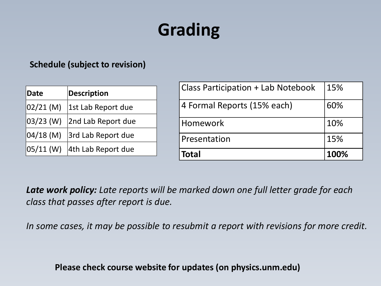# **Grading**

#### **Schedule (subject to revision)**

| Date           | Description        |
|----------------|--------------------|
| 02/21 (M)      | 1st Lab Report due |
| 03/23 (W)      | 2nd Lab Report due |
| $ 04/18 \,(M)$ | 3rd Lab Report due |
| 05/11 (W)      | 4th Lab Report due |

| <b>Class Participation + Lab Notebook</b> | 15%  |
|-------------------------------------------|------|
| 4 Formal Reports (15% each)               | 60%  |
| Homework                                  | 10%  |
| Presentation                              | 15%  |
| <b>Total</b>                              | 100% |

*Late work policy: Late reports will be marked down one full letter grade for each class that passes after report is due.*

*In some cases, it may be possible to resubmit a report with revisions for more credit.*

**Please check course website for updates (on physics.unm.edu)**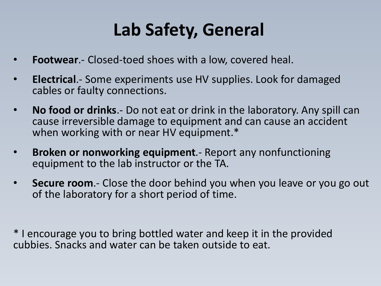### **Lab Safety, General**

- **Footwear**.- Closed-toed shoes with a low, covered heal.
- **Electrical**.- Some experiments use HV supplies. Look for damaged cables or faulty connections.
- **No food or drinks**.- Do not eat or drink in the laboratory. Any spill can cause irreversible damage to equipment and can cause an accident when working with or near HV equipment.\*
- **Broken or nonworking equipment**.- Report any nonfunctioning equipment to the lab instructor or the TA.
- **Secure room**.- Close the door behind you when you leave or you go out of the laboratory for a short period of time.

\* I encourage you to bring bottled water and keep it in the provided cubbies. Snacks and water can be taken outside to eat.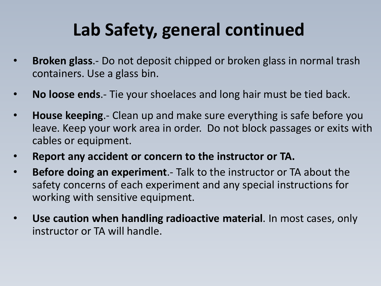### **Lab Safety, general continued**

- **Broken glass**.- Do not deposit chipped or broken glass in normal trash containers. Use a glass bin.
- **No loose ends**.- Tie your shoelaces and long hair must be tied back.
- **House keeping**.- Clean up and make sure everything is safe before you leave. Keep your work area in order. Do not block passages or exits with cables or equipment.
- **Report any accident or concern to the instructor or TA.**
- **Before doing an experiment**.- Talk to the instructor or TA about the safety concerns of each experiment and any special instructions for working with sensitive equipment.
- **Use caution when handling radioactive material**. In most cases, only instructor or TA will handle.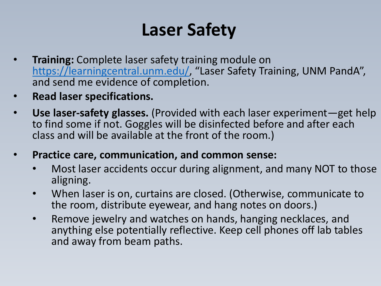### **Laser Safety**

- **Training:** Complete laser safety training module on [https://learningcentral.unm.edu/,](https://learningcentral.unm.edu/) "Laser Safety Training, UNM PandA", and send me evidence of completion.
- **Read laser specifications.**
- **Use laser-safety glasses.** (Provided with each laser experiment—get help to find some if not. Goggles will be disinfected before and after each class and will be available at the front of the room.)
- **Practice care, communication, and common sense:** 
	- Most laser accidents occur during alignment, and many NOT to those aligning.
	- When laser is on, curtains are closed. (Otherwise, communicate to the room, distribute eyewear, and hang notes on doors.)
	- Remove jewelry and watches on hands, hanging necklaces, and anything else potentially reflective. Keep cell phones off lab tables and away from beam paths.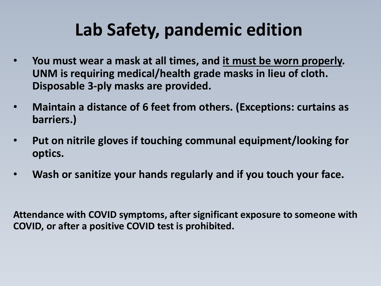## **Lab Safety, pandemic edition**

- **You must wear a mask at all times, and it must be worn properly. UNM is requiring medical/health grade masks in lieu of cloth. Disposable 3-ply masks are provided.**
- **Maintain a distance of 6 feet from others. (Exceptions: curtains as barriers.)**
- **Put on nitrile gloves if touching communal equipment/looking for optics.**
- **Wash or sanitize your hands regularly and if you touch your face.**

**Attendance with COVID symptoms, after significant exposure to someone with COVID, or after a positive COVID test is prohibited.**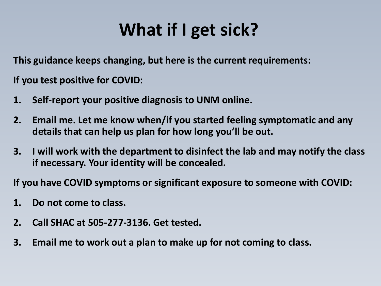## **What if I get sick?**

**This guidance keeps changing, but here is the current requirements:**

**If you test positive for COVID:**

- **1. Self-report your positive diagnosis to UNM online.**
- **2. Email me. Let me know when/if you started feeling symptomatic and any details that can help us plan for how long you'll be out.**
- **3. I will work with the department to disinfect the lab and may notify the class if necessary. Your identity will be concealed.**

**If you have COVID symptoms or significant exposure to someone with COVID:**

- **1. Do not come to class.**
- **2. Call SHAC at 505-277-3136. Get tested.**
- **3. Email me to work out a plan to make up for not coming to class.**